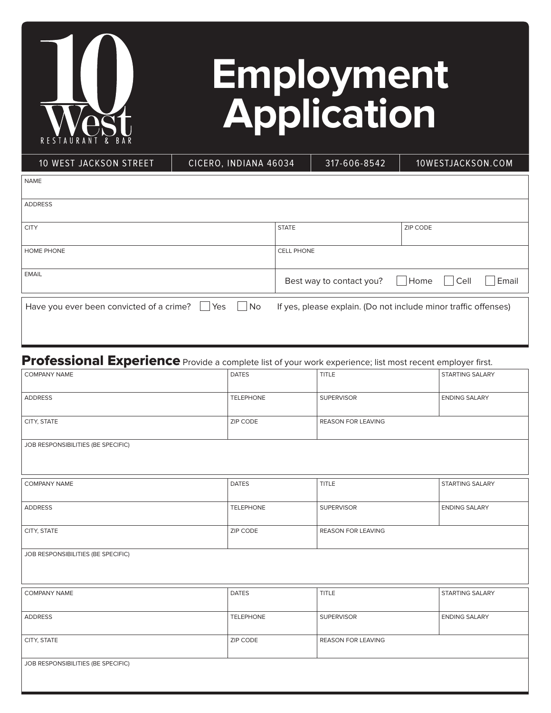

# **Employment Application**

| <b>10 WEST JACKSON STREET</b>            | CICERO, INDIANA 46034 |                   | 317-606-8542                                                    |                 | 10WESTJACKSON.COM      |       |
|------------------------------------------|-----------------------|-------------------|-----------------------------------------------------------------|-----------------|------------------------|-------|
| <b>NAME</b>                              |                       |                   |                                                                 |                 |                        |       |
| <b>ADDRESS</b>                           |                       |                   |                                                                 |                 |                        |       |
| <b>CITY</b>                              |                       | <b>STATE</b>      |                                                                 | <b>ZIP CODE</b> |                        |       |
| <b>HOME PHONE</b>                        |                       | <b>CELL PHONE</b> |                                                                 |                 |                        |       |
| <b>EMAIL</b>                             |                       |                   | Best way to contact you?                                        | Home            | Cell<br>$\blacksquare$ | Email |
| Have you ever been convicted of a crime? | $\vert$ No<br>$ $ Yes |                   | If yes, please explain. (Do not include minor traffic offenses) |                 |                        |       |

### Professional Experience Provide a complete list of your work experience; list most recent employer first.

| <b>COMPANY NAME</b>                | <b>DATES</b>     | <b>TITLE</b>       | STARTING SALARY      |
|------------------------------------|------------------|--------------------|----------------------|
| <b>ADDRESS</b>                     | <b>TELEPHONE</b> | <b>SUPERVISOR</b>  | <b>ENDING SALARY</b> |
| CITY, STATE                        | ZIP CODE         | REASON FOR LEAVING |                      |
| JOB RESPONSIBILITIES (BE SPECIFIC) |                  |                    |                      |
|                                    |                  |                    |                      |
| <b>COMPANY NAME</b>                | <b>DATES</b>     | <b>TITLE</b>       | STARTING SALARY      |
| <b>ADDRESS</b>                     | <b>TELEPHONE</b> | <b>SUPERVISOR</b>  | <b>ENDING SALARY</b> |
| CITY, STATE                        | ZIP CODE         | REASON FOR LEAVING |                      |
| JOB RESPONSIBILITIES (BE SPECIFIC) |                  |                    |                      |
|                                    |                  |                    |                      |
| <b>COMPANY NAME</b>                | <b>DATES</b>     | <b>TITLE</b>       | STARTING SALARY      |
| <b>ADDRESS</b>                     | <b>TELEPHONE</b> | <b>SUPERVISOR</b>  | <b>ENDING SALARY</b> |
| CITY, STATE                        | ZIP CODE         | REASON FOR LEAVING |                      |
| JOB RESPONSIBILITIES (BE SPECIFIC) |                  |                    |                      |